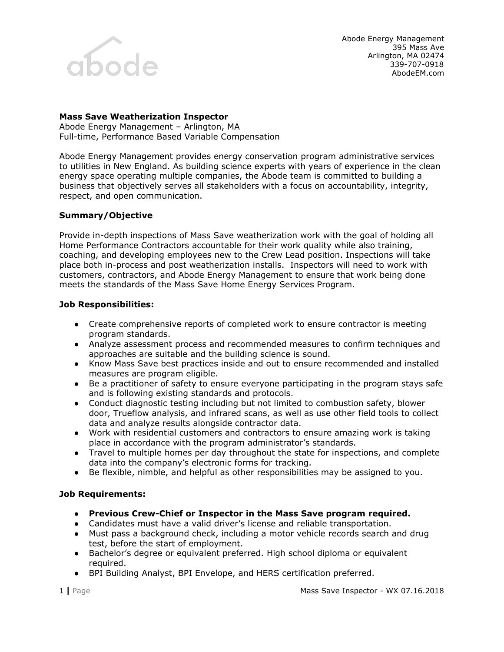

## **Mass Save Weatherization Inspector**

Abode Energy Management – Arlington, MA Full-time, Performance Based Variable Compensation

Abode Energy Management provides energy conservation program administrative services to utilities in New England. As building science experts with years of experience in the clean energy space operating multiple companies, the Abode team is committed to building a business that objectively serves all stakeholders with a focus on accountability, integrity, respect, and open communication.

# **Summary/Objective**

Provide in-depth inspections of Mass Save weatherization work with the goal of holding all Home Performance Contractors accountable for their work quality while also training, coaching, and developing employees new to the Crew Lead position. Inspections will take place both in-process and post weatherization installs. Inspectors will need to work with customers, contractors, and Abode Energy Management to ensure that work being done meets the standards of the Mass Save Home Energy Services Program.

### **Job Responsibilities:**

- Create comprehensive reports of completed work to ensure contractor is meeting program standards.
- Analyze assessment process and recommended measures to confirm techniques and approaches are suitable and the building science is sound.
- Know Mass Save best practices inside and out to ensure recommended and installed measures are program eligible.
- Be a practitioner of safety to ensure everyone participating in the program stays safe and is following existing standards and protocols.
- Conduct diagnostic testing including but not limited to combustion safety, blower door, Trueflow analysis, and infrared scans, as well as use other field tools to collect data and analyze results alongside contractor data.
- Work with residential customers and contractors to ensure amazing work is taking place in accordance with the program administrator's standards.
- Travel to multiple homes per day throughout the state for inspections, and complete data into the company's electronic forms for tracking.
- Be flexible, nimble, and helpful as other responsibilities may be assigned to you.

### **Job Requirements:**

- **Previous Crew-Chief or Inspector in the Mass Save program required.**
- **●** Candidates must have a valid driver's license and reliable transportation.
- Must pass a background check, including a motor vehicle records search and drug test, before the start of employment.
- Bachelor's degree or equivalent preferred. High school diploma or equivalent required.
- BPI Building Analyst, BPI Envelope, and HERS certification preferred.